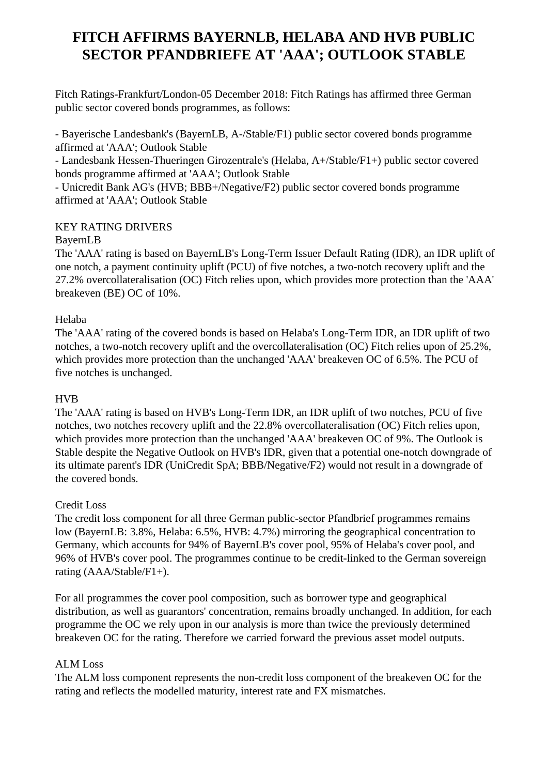# **FITCH AFFIRMS BAYERNLB, HELABA AND HVB PUBLIC SECTOR PFANDBRIEFE AT 'AAA'; OUTLOOK STABLE**

 Fitch Ratings-Frankfurt/London-05 December 2018: Fitch Ratings has affirmed three German public sector covered bonds programmes, as follows:

 - Bayerische Landesbank's (BayernLB, A-/Stable/F1) public sector covered bonds programme affirmed at 'AAA'; Outlook Stable

 - Landesbank Hessen-Thueringen Girozentrale's (Helaba, A+/Stable/F1+) public sector covered bonds programme affirmed at 'AAA'; Outlook Stable

 - Unicredit Bank AG's (HVB; BBB+/Negative/F2) public sector covered bonds programme affirmed at 'AAA'; Outlook Stable

## KEY RATING DRIVERS

## BayernLB

 The 'AAA' rating is based on BayernLB's Long-Term Issuer Default Rating (IDR), an IDR uplift of one notch, a payment continuity uplift (PCU) of five notches, a two-notch recovery uplift and the 27.2% overcollateralisation (OC) Fitch relies upon, which provides more protection than the 'AAA' breakeven (BE) OC of 10%.

## Helaba

 The 'AAA' rating of the covered bonds is based on Helaba's Long-Term IDR, an IDR uplift of two notches, a two-notch recovery uplift and the overcollateralisation (OC) Fitch relies upon of 25.2%, which provides more protection than the unchanged 'AAA' breakeven OC of 6.5%. The PCU of five notches is unchanged.

#### HVB

 The 'AAA' rating is based on HVB's Long-Term IDR, an IDR uplift of two notches, PCU of five notches, two notches recovery uplift and the 22.8% overcollateralisation (OC) Fitch relies upon, which provides more protection than the unchanged 'AAA' breakeven OC of 9%. The Outlook is Stable despite the Negative Outlook on HVB's IDR, given that a potential one-notch downgrade of its ultimate parent's IDR (UniCredit SpA; BBB/Negative/F2) would not result in a downgrade of the covered bonds.

#### Credit Loss

 The credit loss component for all three German public-sector Pfandbrief programmes remains low (BayernLB: 3.8%, Helaba: 6.5%, HVB: 4.7%) mirroring the geographical concentration to Germany, which accounts for 94% of BayernLB's cover pool, 95% of Helaba's cover pool, and 96% of HVB's cover pool. The programmes continue to be credit-linked to the German sovereign rating (AAA/Stable/F1+).

 For all programmes the cover pool composition, such as borrower type and geographical distribution, as well as guarantors' concentration, remains broadly unchanged. In addition, for each programme the OC we rely upon in our analysis is more than twice the previously determined breakeven OC for the rating. Therefore we carried forward the previous asset model outputs.

## ALM Loss

 The ALM loss component represents the non-credit loss component of the breakeven OC for the rating and reflects the modelled maturity, interest rate and FX mismatches.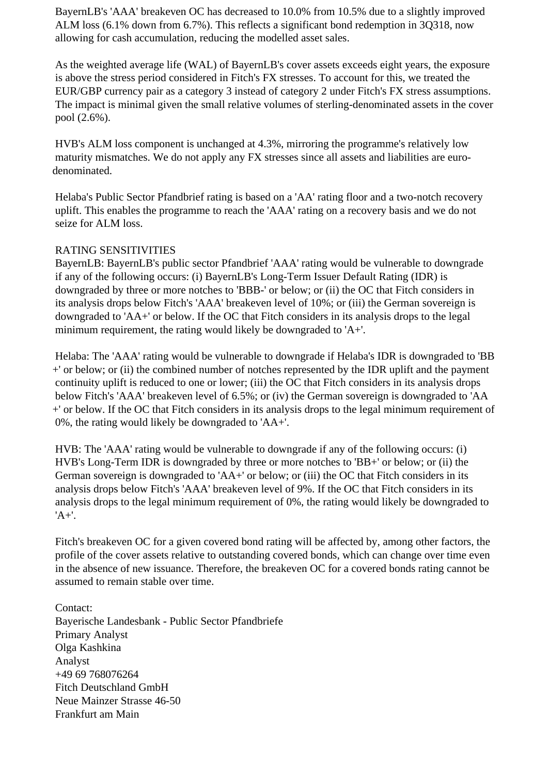BayernLB's 'AAA' breakeven OC has decreased to 10.0% from 10.5% due to a slightly improved ALM loss (6.1% down from 6.7%). This reflects a significant bond redemption in 3Q318, now allowing for cash accumulation, reducing the modelled asset sales.

 As the weighted average life (WAL) of BayernLB's cover assets exceeds eight years, the exposure is above the stress period considered in Fitch's FX stresses. To account for this, we treated the EUR/GBP currency pair as a category 3 instead of category 2 under Fitch's FX stress assumptions. The impact is minimal given the small relative volumes of sterling-denominated assets in the cover pool (2.6%).

 HVB's ALM loss component is unchanged at 4.3%, mirroring the programme's relatively low maturity mismatches. We do not apply any FX stresses since all assets and liabilities are eurodenominated.

 Helaba's Public Sector Pfandbrief rating is based on a 'AA' rating floor and a two-notch recovery uplift. This enables the programme to reach the 'AAA' rating on a recovery basis and we do not seize for ALM loss.

#### RATING SENSITIVITIES

 BayernLB: BayernLB's public sector Pfandbrief 'AAA' rating would be vulnerable to downgrade if any of the following occurs: (i) BayernLB's Long-Term Issuer Default Rating (IDR) is downgraded by three or more notches to 'BBB-' or below; or (ii) the OC that Fitch considers in its analysis drops below Fitch's 'AAA' breakeven level of 10%; or (iii) the German sovereign is downgraded to 'AA+' or below. If the OC that Fitch considers in its analysis drops to the legal minimum requirement, the rating would likely be downgraded to 'A+'.

 Helaba: The 'AAA' rating would be vulnerable to downgrade if Helaba's IDR is downgraded to 'BB +' or below; or (ii) the combined number of notches represented by the IDR uplift and the payment continuity uplift is reduced to one or lower; (iii) the OC that Fitch considers in its analysis drops below Fitch's 'AAA' breakeven level of 6.5%; or (iv) the German sovereign is downgraded to 'AA +' or below. If the OC that Fitch considers in its analysis drops to the legal minimum requirement of 0%, the rating would likely be downgraded to 'AA+'.

 HVB: The 'AAA' rating would be vulnerable to downgrade if any of the following occurs: (i) HVB's Long-Term IDR is downgraded by three or more notches to 'BB+' or below; or (ii) the German sovereign is downgraded to 'AA+' or below; or (iii) the OC that Fitch considers in its analysis drops below Fitch's 'AAA' breakeven level of 9%. If the OC that Fitch considers in its analysis drops to the legal minimum requirement of 0%, the rating would likely be downgraded to 'A+'.

 Fitch's breakeven OC for a given covered bond rating will be affected by, among other factors, the profile of the cover assets relative to outstanding covered bonds, which can change over time even in the absence of new issuance. Therefore, the breakeven OC for a covered bonds rating cannot be assumed to remain stable over time.

 Contact: Bayerische Landesbank - Public Sector Pfandbriefe Primary Analyst Olga Kashkina Analyst +49 69 768076264 Fitch Deutschland GmbH Neue Mainzer Strasse 46-50 Frankfurt am Main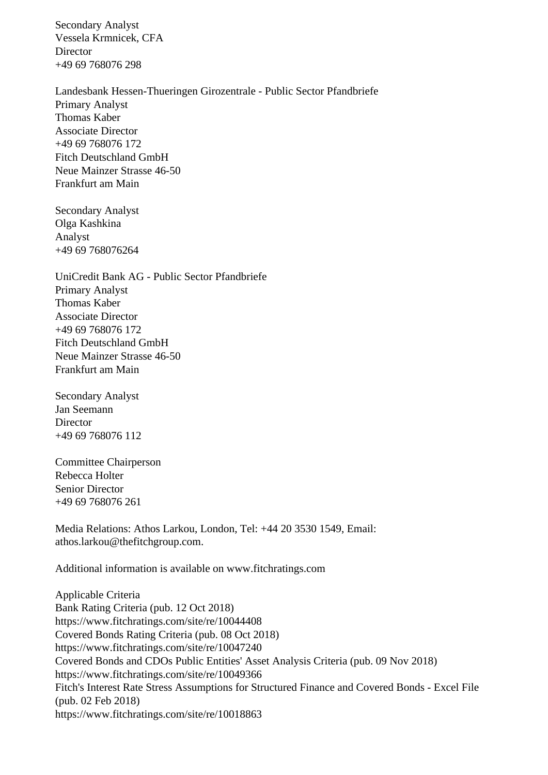Secondary Analyst Vessela Krmnicek, CFA **Director** +49 69 768076 298

 Landesbank Hessen-Thueringen Girozentrale - Public Sector Pfandbriefe Primary Analyst Thomas Kaber Associate Director +49 69 768076 172 Fitch Deutschland GmbH Neue Mainzer Strasse 46-50 Frankfurt am Main

 Secondary Analyst Olga Kashkina Analyst +49 69 768076264

 UniCredit Bank AG - Public Sector Pfandbriefe Primary Analyst Thomas Kaber Associate Director +49 69 768076 172 Fitch Deutschland GmbH Neue Mainzer Strasse 46-50 Frankfurt am Main

 Secondary Analyst Jan Seemann Director +49 69 768076 112

 Committee Chairperson Rebecca Holter Senior Director +49 69 768076 261

 Media Relations: Athos Larkou, London, Tel: +44 20 3530 1549, Email: athos.larkou@thefitchgroup.com.

Additional information is available on www.fitchratings.com

 Applicable Criteria Bank Rating Criteria (pub. 12 Oct 2018) https://www.fitchratings.com/site/re/10044408 Covered Bonds Rating Criteria (pub. 08 Oct 2018) https://www.fitchratings.com/site/re/10047240 Covered Bonds and CDOs Public Entities' Asset Analysis Criteria (pub. 09 Nov 2018) https://www.fitchratings.com/site/re/10049366 Fitch's Interest Rate Stress Assumptions for Structured Finance and Covered Bonds - Excel File (pub. 02 Feb 2018) https://www.fitchratings.com/site/re/10018863